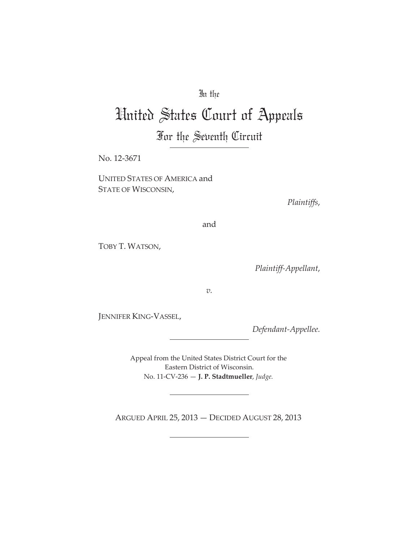### In the

# United States Court of Appeals

## For the Seventh Circuit

No. 12-3671

UNITED STATES OF AMERICA and STATE OF WISCONSIN,

*Plaintiffs*,

and

TOBY T. WATSON,

*PlaintiffȬAppellant*,

*v.*

JENNIFER KING-VASSEL,

*DefendantȬAppellee.*

Appeal from the United States District Court for the Eastern District of Wisconsin. No. 11ȬCVȬ236 — **J. P. Stadtmueller**, *Judge.*

ARGUED APRIL 25, 2013 — DECIDED AUGUST 28, 2013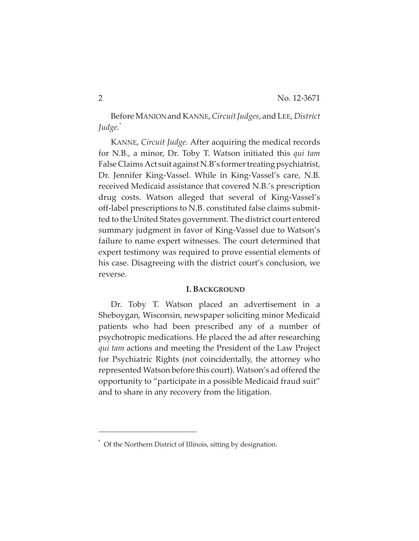BeforeMANIONand KANNE,*CircuitJudges*, and LEE, *District Judge.\**

KANNE, *Circuit Judge.* After acquiring the medical records for N.B., a minor, Dr. Toby T. Watson initiated this *qui tam* False Claims Act suit against N.B's former treating psychiatrist, Dr. Jennifer King-Vassel. While in King-Vassel's care, N.B. received Medicaid assistance that covered N.B.'s prescription drug costs. Watson alleged that several of King-Vassel's off-label prescriptions to N.B. constituted false claims submitted to the United States government. The district court entered summary judgment in favor of King-Vassel due to Watson's failure to name expert witnesses. The court determined that expert testimony was required to prove essential elements of his case. Disagreeing with the district court's conclusion, we reverse.

#### **I. BACKGROUND**

Dr. Toby T. Watson placed an advertisement in a Sheboygan, Wisconsin, newspaper soliciting minor Medicaid patients who had been prescribed any of a number of psychotropic medications. He placed the ad after researching *qui tam* actions and meeting the President of the Law Project for Psychiatric Rights (not coincidentally, the attorney who represented Watson before this court). Watson's ad offered the opportunity to "participate in a possible Medicaid fraud suit" and to share in any recovery from the litigation.

<sup>\*</sup> Of the Northern District of Illinois, sitting by designation.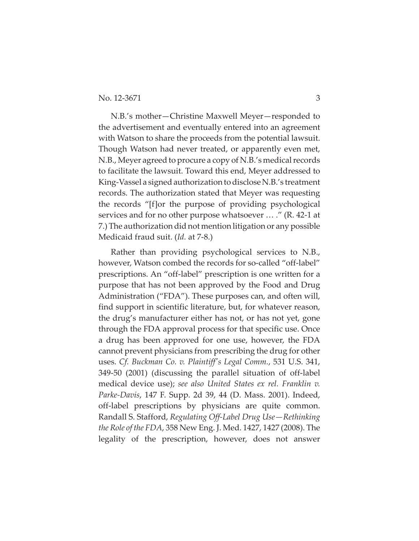N.B.'s mother—Christine Maxwell Meyer—responded to the advertisement and eventually entered into an agreement with Watson to share the proceeds from the potential lawsuit. Though Watson had never treated, or apparently even met, N.B., Meyer agreed to procure a copy of N.B.'s medical records to facilitate the lawsuit. Toward this end, Meyer addressed to King-Vassel a signed authorization to disclose N.B.'s treatment records. The authorization stated that Meyer was requesting the records "[f]or the purpose of providing psychological services and for no other purpose whatsoever ... ." (R. 42-1 at 7.) The authorization did not mention litigation or any possible Medicaid fraud suit. (*Id.* at 7-8.)

Rather than providing psychological services to N.B., however, Watson combed the records for so-called "off-label" prescriptions. An "off-label" prescription is one written for a purpose that has not been approved by the Food and Drug Administration ("FDA"). These purposes can, and often will, find support in scientific literature, but, for whatever reason, the drug's manufacturer either has not, or has not yet, gone through the FDA approval process for that specific use. Once a drug has been approved for one use, however, the FDA cannot prevent physicians from prescribing the drug for other uses. *Cf. Buckman Co. v. Plaintiffȇs Legal Comm.*, 531 U.S. 341, 349-50 (2001) (discussing the parallel situation of off-label medical device use); *see also United States ex rel. Franklin v. ParkeȬDavis*, 147 F. Supp. 2d 39, 44 (D. Mass. 2001). Indeed, off-label prescriptions by physicians are quite common. Randall S. Stafford, *Regulating OffȬLabel Drug Use—Rethinking the Role of the FDA*, 358 New Eng. J. Med. 1427, 1427 (2008). The legality of the prescription, however, does not answer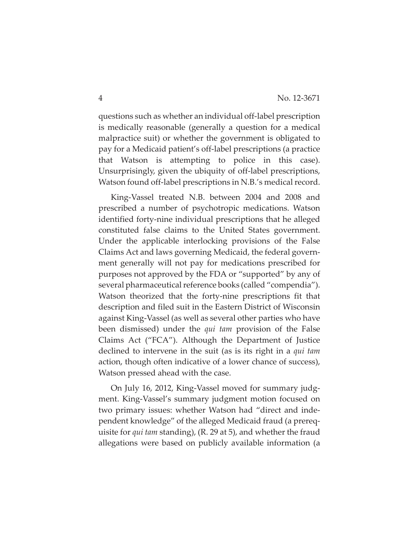questions such as whether an individual off-label prescription is medically reasonable (generally a question for a medical malpractice suit) or whether the government is obligated to pay for a Medicaid patient's off-label prescriptions (a practice that Watson is attempting to police in this case). Unsurprisingly, given the ubiquity of off-label prescriptions, Watson found off-label prescriptions in N.B.'s medical record.

King-Vassel treated N.B. between 2004 and 2008 and prescribed a number of psychotropic medications. Watson identified forty-nine individual prescriptions that he alleged constituted false claims to the United States government. Under the applicable interlocking provisions of the False Claims Act and laws governing Medicaid, the federal government generally will not pay for medications prescribed for purposes not approved by the FDA or "supported" by any of several pharmaceutical reference books (called "compendia"). Watson theorized that the forty-nine prescriptions fit that description and filed suit in the Eastern District of Wisconsin against KingȬVassel (as well as several other parties who have been dismissed) under the *qui tam* provision of the False Claims Act ("FCA"). Although the Department of Justice declined to intervene in the suit (as is its right in a *qui tam* action, though often indicative of a lower chance of success), Watson pressed ahead with the case.

On July 16, 2012, King-Vassel moved for summary judgment. King-Vassel's summary judgment motion focused on two primary issues: whether Watson had "direct and independent knowledge" of the alleged Medicaid fraud (a prerequisite for *qui tam* standing), (R. 29 at 5), and whether the fraud allegations were based on publicly available information (a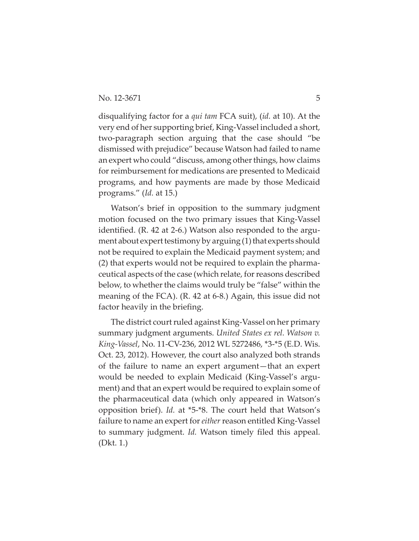disqualifying factor for a *qui tam* FCA suit), (*id.* at 10). At the very end of her supporting brief, King-Vassel included a short, two-paragraph section arguing that the case should "be dismissed with prejudice" because Watson had failed to name an expert who could "discuss, among other things, how claims for reimbursement for medications are presented to Medicaid programs, and how payments are made by those Medicaid programs." (*Id.* at 15.)

Watson's brief in opposition to the summary judgment motion focused on the two primary issues that King-Vassel identified. (R. 42 at 2-6.) Watson also responded to the argument about expert testimony by arguing  $(1)$  that experts should not be required to explain the Medicaid payment system; and (2) that experts would not be required to explain the pharmaceutical aspects of the case (which relate, forreasons described below, to whether the claims would truly be "false" within the meaning of the FCA). (R. 42 at 6-8.) Again, this issue did not factor heavily in the briefing.

The district court ruled against King-Vassel on her primary summary judgment arguments. *United States ex rel. Watson v. KingȬVassel*, No. 11ȬCVȬ236, 2012 WL 5272486, \*3Ȭ\*5 (E.D. Wis. Oct. 23, 2012). However, the court also analyzed both strands of the failure to name an expert argument—that an expert would be needed to explain Medicaid (King-Vassel's argument) and that an expert would be required to explain some of the pharmaceutical data (which only appeared in Watson's opposition brief). *Id.* at \*5-\*8. The court held that Watson's failure to name an expert for *either* reason entitled King-Vassel to summary judgment. *Id.* Watson timely filed this appeal. (Dkt. 1.)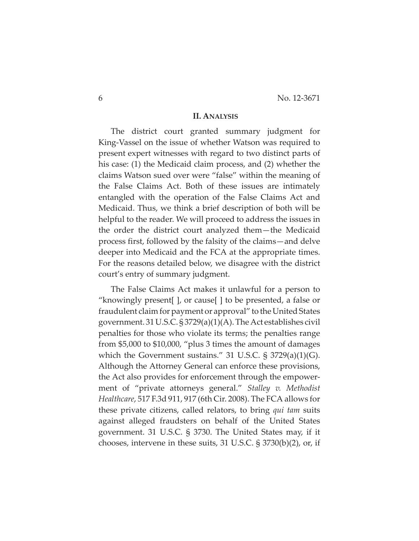#### **II. ANALYSIS**

The district court granted summary judgment for King-Vassel on the issue of whether Watson was required to present expert witnesses with regard to two distinct parts of his case: (1) the Medicaid claim process, and (2) whether the claims Watson sued over were "false" within the meaning of the False Claims Act. Both of these issues are intimately entangled with the operation of the False Claims Act and Medicaid. Thus, we think a brief description of both will be helpful to the reader. We will proceed to address the issues in the order the district court analyzed them—the Medicaid process first, followed by the falsity of the claims—and delve deeper into Medicaid and the FCA at the appropriate times. For the reasons detailed below, we disagree with the district court's entry of summary judgment.

The False Claims Act makes it unlawful for a person to "knowingly present[ ], or cause[ ] to be presented, a false or fraudulent claim for payment or approval" to the United States government. 31 U.S.C.  $\S 3729(a)(1)(A)$ . The Act establishes civil penalties for those who violate its terms; the penalties range from \$5,000 to \$10,000, "plus 3 times the amount of damages which the Government sustains." 31 U.S.C. § 3729(a)(1)(G). Although the Attorney General can enforce these provisions, the Act also provides for enforcement through the empowerment of "private attorneys general." *Stalley v. Methodist Healthcare*, 517 F.3d 911, 917 (6th Cir. 2008). The FCA allows for these private citizens, called relators, to bring *qui tam* suits against alleged fraudsters on behalf of the United States government. 31 U.S.C. § 3730. The United States may, if it chooses, intervene in these suits, 31 U.S.C. § 3730(b)(2), or, if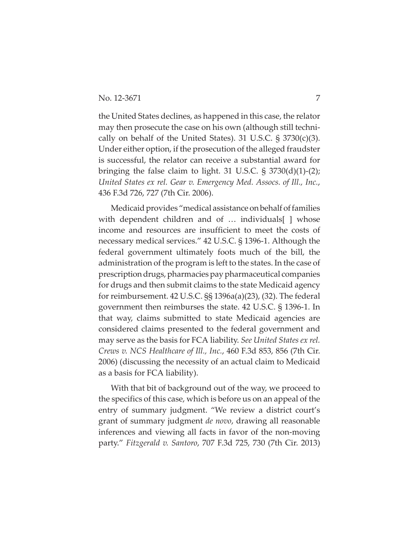the United States declines, as happened in this case, the relator may then prosecute the case on his own (although still technically on behalf of the United States). 31 U.S.C.  $\S 3730(c)(3)$ . Under either option, if the prosecution of the alleged fraudster is successful, the relator can receive a substantial award for bringing the false claim to light. 31 U.S.C.  $\S$  3730(d)(1)-(2); *United States ex rel. Gear v. Emergency Med. Assocs. of Ill., Inc.*, 436 F.3d 726, 727 (7th Cir. 2006).

Medicaid provides "medical assistance on behalf of families with dependent children and of ... individuals | whose income and resources are insufficient to meet the costs of necessary medical services." 42 U.S.C. § 1396-1. Although the federal government ultimately foots much of the bill, the administration of the program is left to the states. In the case of prescription drugs, pharmacies pay pharmaceutical companies for drugs and then submit claims to the state Medicaid agency for reimbursement. 42 U.S.C. §§ 1396a(a)(23), (32). The federal government then reimburses the state.  $42$  U.S.C.  $\S$  1396-1. In that way, claims submitted to state Medicaid agencies are considered claims presented to the federal government and may serve as the basis for FCA liability. *See United States ex rel. Crews v. NCS Healthcare of Ill., Inc.*, 460 F.3d 853, 856 (7th Cir. 2006) (discussing the necessity of an actual claim to Medicaid as a basis for FCA liability).

With that bit of background out of the way, we proceed to the specifics of this case, which is before us on an appeal of the entry of summary judgment. "We review a district court's grant of summary judgment *de novo*, drawing all reasonable inferences and viewing all facts in favor of the non-moving party." *Fitzgerald v. Santoro*, 707 F.3d 725, 730 (7th Cir. 2013)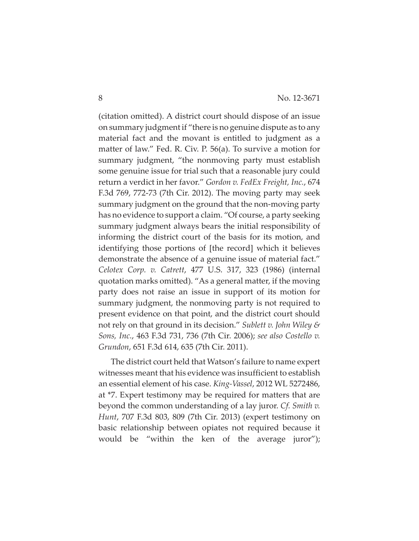(citation omitted). A district court should dispose of an issue on summary judgmentif "there is no genuine dispute as to any material fact and the movant is entitled to judgment as a matter of law." Fed. R. Civ. P. 56(a). To survive a motion for summary judgment, "the nonmoving party must establish some genuine issue for trial such that a reasonable jury could return a verdict in her favor." *Gordon v. FedEx Freight, Inc.*, 674 F.3d 769, 772-73 (7th Cir. 2012). The moving party may seek summary judgment on the ground that the non-moving party has no evidence to support a claim. "Of course, a party seeking summary judgment always bears the initial responsibility of informing the district court of the basis for its motion, and identifying those portions of [the record] which it believes demonstrate the absence of a genuine issue of material fact." *Celotex Corp. v. Catrett*, 477 U.S. 317, 323 (1986) (internal quotation marks omitted). "As a general matter, if the moving party does not raise an issue in support of its motion for summary judgment, the nonmoving party is not required to present evidence on that point, and the district court should not rely on that ground in its decision." *Sublett v. John Wiley & Sons, Inc.*, 463 F.3d 731, 736 (7th Cir. 2006); *see also Costello v. Grundon*, 651 F.3d 614, 635 (7th Cir. 2011).

The district court held that Watson's failure to name expert witnesses meant that his evidence was insufficient to establish an essential element of his case. *KingȬVassel*, 2012 WL 5272486, at \*7. Expert testimony may be required for matters that are beyond the common understanding of a lay juror. *Cf. Smith v. Hunt*, 707 F.3d 803, 809 (7th Cir. 2013) (expert testimony on basic relationship between opiates not required because it would be "within the ken of the average juror");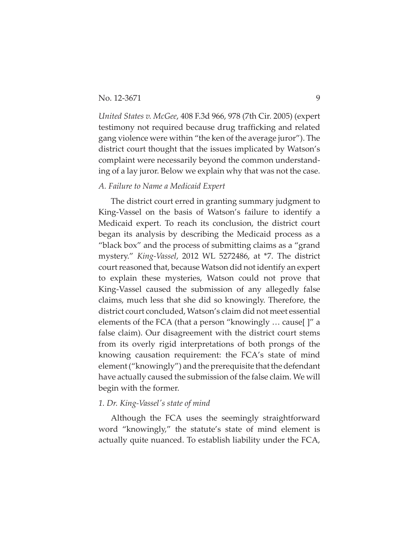*United States v. McGee*, 408 F.3d 966, 978 (7th Cir. 2005) (expert testimony not required because drug trafficking and related gang violence were within "the ken of the average juror"). The district court thought that the issues implicated by Watson's complaint were necessarily beyond the common understanding of a lay juror. Below we explain why that was not the case.

#### *A. Failure to Name a Medicaid Expert*

The district court erred in granting summary judgment to King-Vassel on the basis of Watson's failure to identify a Medicaid expert. To reach its conclusion, the district court began its analysis by describing the Medicaid process as a "black box" and the process of submitting claims as a "grand mystery." *KingȬVassel*, 2012 WL 5272486, at \*7. The district court reasoned that, because Watson did not identify an expert to explain these mysteries, Watson could not prove that King-Vassel caused the submission of any allegedly false claims, much less that she did so knowingly. Therefore, the district court concluded, Watson's claim did not meet essential elements of the FCA (that a person "knowingly … cause[ ]" a false claim). Our disagreement with the district court stems from its overly rigid interpretations of both prongs of the knowing causation requirement: the FCA's state of mind element ("knowingly") and the prerequisite that the defendant have actually caused the submission of the false claim. We will begin with the former.

#### *1. Dr. KingȬVasselȇs state of mind*

Although the FCA uses the seemingly straightforward word "knowingly," the statute's state of mind element is actually quite nuanced. To establish liability under the FCA,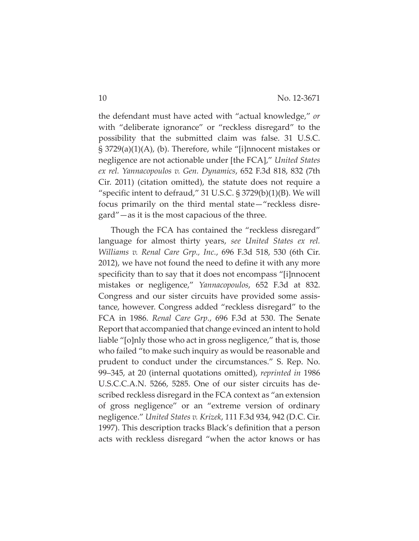the defendant must have acted with "actual knowledge," *or* with "deliberate ignorance" or "reckless disregard" to the possibility that the submitted claim was false. 31 U.S.C. § 3729(a)(1)(A), (b). Therefore, while "[i]nnocent mistakes or negligence are not actionable under [the FCA]," *United States ex rel. Yannacopoulos v. Gen. Dynamics*, 652 F.3d 818, 832 (7th Cir. 2011) (citation omitted), the statute does not require a "specific intent to defraud," 31 U.S.C.  $\S 3729(b)(1)(B)$ . We will focus primarily on the third mental state—"reckless disregard"—as it is the most capacious of the three.

Though the FCA has contained the "reckless disregard" language for almost thirty years, *see United States ex rel. Williams v. Renal Care Grp., Inc.*, 696 F.3d 518, 530 (6th Cir. 2012), we have not found the need to define it with any more specificity than to say that it does not encompass "[i]nnocent mistakes or negligence," *Yannacopoulos*, 652 F.3d at 832. Congress and our sister circuits have provided some assistance, however. Congress added "reckless disregard" to the FCA in 1986. *Renal Care Grp.*, 696 F.3d at 530. The Senate Report that accompanied that change evinced an intent to hold liable "[o]nly those who act in gross negligence," that is, those who failed "to make such inquiry as would be reasonable and prudent to conduct under the circumstances." S. Rep. No. 99–345, at 20 (internal quotations omitted), *reprinted in* 1986 U.S.C.C.A.N. 5266, 5285. One of our sister circuits has described reckless disregard in the FCA context as "an extension of gross negligence" or an "extreme version of ordinary negligence." *United States v. Krizek*, 111 F.3d 934, 942 (D.C. Cir. 1997). This description tracks Black's definition that a person acts with reckless disregard "when the actor knows or has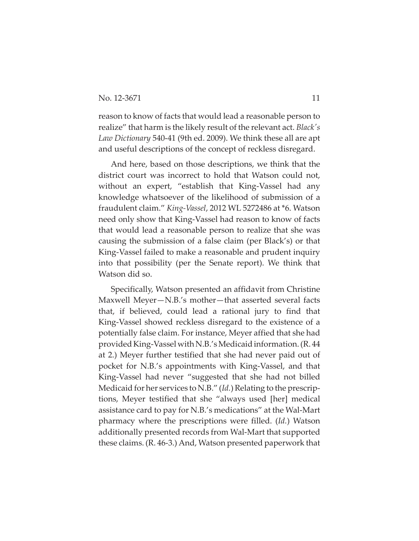reason to know of facts that would lead a reasonable person to realize" that harm is the likely result of the relevant act. *Black's Law Dictionary* 540Ȭ41 (9th ed. 2009). We think these all are apt and useful descriptions of the concept of reckless disregard.

And here, based on those descriptions, we think that the district court was incorrect to hold that Watson could not, without an expert, "establish that King-Vassel had any knowledge whatsoever of the likelihood of submission of a fraudulent claim." *KingȬVassel*, 2012 WL 5272486 at \*6. Watson need only show that King-Vassel had reason to know of facts that would lead a reasonable person to realize that she was causing the submission of a false claim (per Black's) or that King-Vassel failed to make a reasonable and prudent inquiry into that possibility (per the Senate report). We think that Watson did so.

Specifically, Watson presented an affidavit from Christine Maxwell Meyer—N.B.'s mother—that asserted several facts that, if believed, could lead a rational jury to find that King-Vassel showed reckless disregard to the existence of a potentially false claim. For instance, Meyer affied that she had provided KingȬVassel with N.B.'sMedicaidinformation.(R. 44 at 2.) Meyer further testified that she had never paid out of pocket for N.B.'s appointments with King-Vassel, and that King-Vassel had never "suggested that she had not billed Medicaid for her services to N.B." *(Id.)* Relating to the prescriptions, Meyer testified that she "always used [her] medical assistance card to pay for N.B.'s medications" at the Wal-Mart pharmacy where the prescriptions were filled. (*Id.*) Watson additionally presented records from Wal-Mart that supported these claims. (R. 46-3.) And, Watson presented paperwork that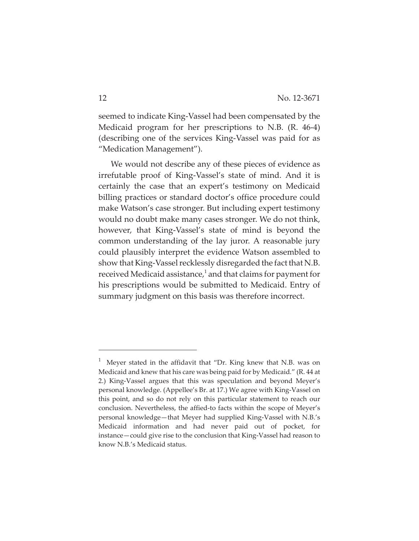seemed to indicate King-Vassel had been compensated by the Medicaid program for her prescriptions to N.B. (R. 46-4) (describing one of the services KingȬVassel was paid for as "Medication Management").

We would not describe any of these pieces of evidence as irrefutable proof of King-Vassel's state of mind. And it is certainly the case that an expert's testimony on Medicaid billing practices or standard doctor's office procedure could make Watson's case stronger. But including expert testimony would no doubt make many cases stronger. We do not think, however, that King-Vassel's state of mind is beyond the common understanding of the lay juror. A reasonable jury could plausibly interpret the evidence Watson assembled to show that King-Vassel recklessly disregarded the fact that N.B. received Medicaid assistance, $\frac{1}{2}$  and that claims for payment for his prescriptions would be submitted to Medicaid. Entry of summary judgment on this basis was therefore incorrect.

 $<sup>1</sup>$  Meyer stated in the affidavit that "Dr. King knew that N.B. was on</sup> Medicaid and knew that his care was being paid for by Medicaid*.*" (R. 44 at 2.) King-Vassel argues that this was speculation and beyond Meyer's personal knowledge. (Appellee's Br. at 17.) We agree with King-Vassel on this point, and so do not rely on this particular statement to reach our conclusion. Nevertheless, the affied-to facts within the scope of Meyer's personal knowledge—that Meyer had supplied King-Vassel with N.B.'s Medicaid information and had never paid out of pocket, for instance—could give rise to the conclusion that King-Vassel had reason to know N.B.'s Medicaid status.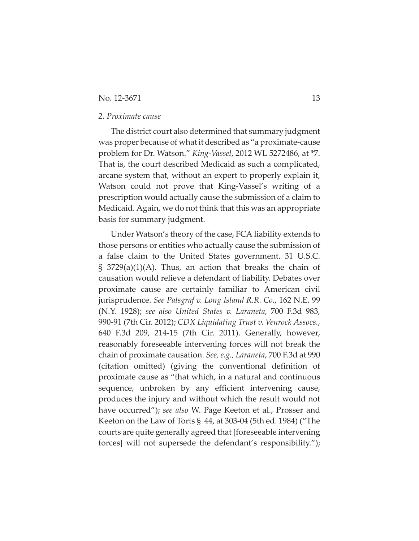#### No. 12-3671 13

#### *2. Proximate cause*

The district court also determined that summary judgment was proper because of what it described as "a proximate-cause problem for Dr. Watson." *KingȬVassel*, 2012 WL 5272486, at \*7. That is, the court described Medicaid as such a complicated, arcane system that, without an expert to properly explain it, Watson could not prove that King-Vassel's writing of a prescription would actually cause the submission of a claim to Medicaid. Again, we do not think that this was an appropriate basis for summary judgment.

Under Watson's theory of the case, FCA liability extends to those persons or entities who actually cause the submission of a false claim to the United States government. 31 U.S.C.  $\S$  3729(a)(1)(A). Thus, an action that breaks the chain of causation would relieve a defendant of liability. Debates over proximate cause are certainly familiar to American civil jurisprudence. *See Palsgraf v. Long Island R.R. Co.*, 162 N.E. 99 (N.Y. 1928); *see also United States v. Laraneta*, 700 F.3d 983, 990Ȭ91 (7th Cir. 2012); *CDX Liquidating Trust v. Venrock Assocs.*, 640 F.3d 209, 214-15 (7th Cir. 2011). Generally, however, reasonably foreseeable intervening forces will not break the chain of proximate causation. *See, e.g., Laraneta*, 700 F.3d at 990 (citation omitted) (giving the conventional definition of proximate cause as "that which, in a natural and continuous sequence, unbroken by any efficient intervening cause, produces the injury and without which the result would not have occurred"); *see also* W. Page Keeton et al., Prosser and Keeton on the Law of Torts  $\S$  44, at 303-04 (5th ed. 1984) ("The courts are quite generally agreed that [foreseeable intervening forces] will not supersede the defendant's responsibility.");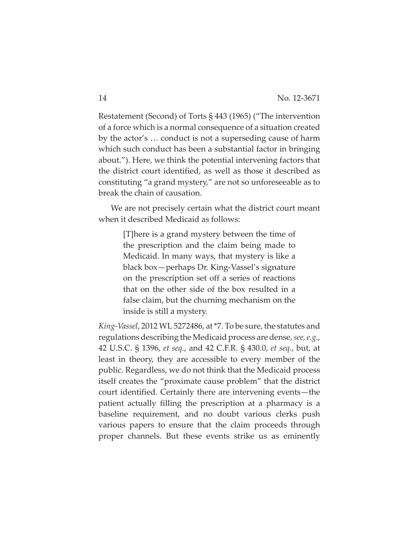Restatement (Second) of Torts § 443 (1965) ("The intervention of a force which is a normal consequence of a situation created by the actor's … conduct is not a superseding cause of harm which such conduct has been a substantial factor in bringing about."). Here, we think the potential intervening factors that the district court identified, as well as those it described as constituting "a grand mystery," are not so unforeseeable as to break the chain of causation.

We are not precisely certain what the district court meant when it described Medicaid as follows:

> [T]here is a grand mystery between the time of the prescription and the claim being made to Medicaid. In many ways, that mystery is like a black box—perhaps Dr. King-Vassel's signature on the prescription set off a series of reactions that on the other side of the box resulted in a false claim, but the churning mechanism on the inside is still a mystery.

*KingȬVassel*, 2012 WL 5272486, at\*7. To be sure, the statutes and regulations describing the Medicaid process are dense,*see,e.g.*, 42 U.S.C. § 1396, *et seq.*, and 42 C.F.R. § 430.0, *et seq.*, but, at least in theory, they are accessible to every member of the public. Regardless, we do not think that the Medicaid process itself creates the "proximate cause problem" that the district court identified. Certainly there are intervening events—the patient actually filling the prescription at a pharmacy is a baseline requirement, and no doubt various clerks push various papers to ensure that the claim proceeds through proper channels. But these events strike us as eminently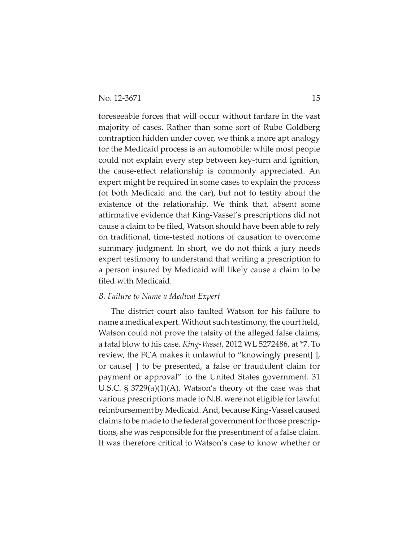foreseeable forces that will occur without fanfare in the vast majority of cases. Rather than some sort of Rube Goldberg contraption hidden under cover, we think a more apt analogy for the Medicaid process is an automobile: while most people could not explain every step between key-turn and ignition, the causeȬeffect relationship is commonly appreciated. An expert might be required in some cases to explain the process (of both Medicaid and the car), but not to testify about the existence of the relationship. We think that, absent some affirmative evidence that KingȬVassel's prescriptions did not cause a claim to be filed, Watson should have been able to rely on traditional, time-tested notions of causation to overcome summary judgment. In short, we do not think a jury needs expert testimony to understand that writing a prescription to a person insured by Medicaid will likely cause a claim to be filed with Medicaid.

#### *B. Failure to Name a Medical Expert*

The district court also faulted Watson for his failure to name a medical expert. Without such testimony, the court held, Watson could not prove the falsity of the alleged false claims, a fatal blow to his case. *KingȬVassel*, 2012 WL 5272486, at \*7. To review, the FCA makes it unlawful to "knowingly present[ ], or cause[ ] to be presented, a false or fraudulent claim for payment or approval" to the United States government. 31 U.S.C. § 3729(a)(1)(A). Watson's theory of the case was that various prescriptions made to N.B. were not eligible for lawful reimbursement by Medicaid. And, because King-Vassel caused claims to be made to the federal government for those prescriptions, she was responsible for the presentment of a false claim. It was therefore critical to Watson's case to know whether or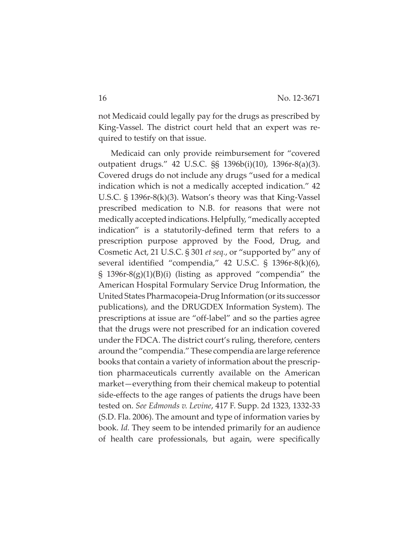not Medicaid could legally pay for the drugs as prescribed by King-Vassel. The district court held that an expert was required to testify on that issue.

Medicaid can only provide reimbursement for "covered outpatient drugs." 42 U.S.C. §§ 1396b(i)(10), 1396r-8(a)(3). Covered drugs do not include any drugs "used for a medical indication which is not a medically accepted indication." 42 U.S.C.  $\S$  1396r-8(k)(3). Watson's theory was that King-Vassel prescribed medication to N.B. for reasons that were not medically acceptedindications. Helpfully, "medically accepted indication" is a statutorily-defined term that refers to a prescription purpose approved by the Food, Drug, and Cosmetic Act, 21 U.S.C. § 301 *et seq.*, or "supported by" any of several identified "compendia,"  $42 \text{ U.S.C. }$  §  $1396 \times 8(k)(6)$ , § 1396r-8(g)(1)(B)(i) (listing as approved "compendia" the American Hospital Formulary Service Drug Information, the United States Pharmacopeia-Drug Information (or its successor publications), and the DRUGDEX Information System). The prescriptions at issue are "off-label" and so the parties agree that the drugs were not prescribed for an indication covered under the FDCA. The district court's ruling, therefore, centers around the "compendia." These compendia are large reference books that contain a variety of information about the prescription pharmaceuticals currently available on the American market—everything from their chemical makeup to potential side-effects to the age ranges of patients the drugs have been tested on. *See Edmonds v. Levine*, 417 F. Supp. 2d 1323, 1332-33 (S.D. Fla. 2006). The amount and type of information varies by book. *Id.* They seem to be intended primarily for an audience of health care professionals, but again, were specifically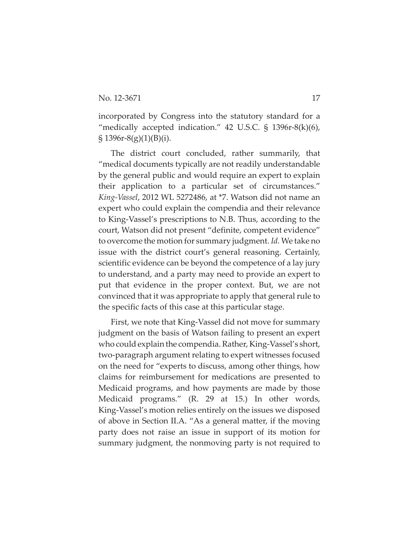incorporated by Congress into the statutory standard for a "medically accepted indication." 42 U.S.C.  $\S$  1396r-8(k)(6),  $\S 1396r-8(g)(1)(B)(i).$ 

The district court concluded, rather summarily, that "medical documents typically are not readily understandable by the general public and would require an expert to explain their application to a particular set of circumstances." *KingȬVassel*, 2012 WL 5272486, at \*7. Watson did not name an expert who could explain the compendia and their relevance to KingȬVassel's prescriptions to N.B. Thus, according to the court, Watson did not present "definite, competent evidence" to overcome the motion for summary judgment. *Id.* We take no issue with the district court's general reasoning. Certainly, scientific evidence can be beyond the competence of a lay jury to understand, and a party may need to provide an expert to put that evidence in the proper context. But, we are not convinced that it was appropriate to apply that general rule to the specific facts of this case at this particular stage.

First, we note that King-Vassel did not move for summary judgment on the basis of Watson failing to present an expert who could explain the compendia. Rather, King-Vassel's short, twoȬparagraph argument relating to expert witnesses focused on the need for "experts to discuss, among other things, how claims for reimbursement for medications are presented to Medicaid programs, and how payments are made by those Medicaid programs." (R. 29 at 15.) In other words, King-Vassel's motion relies entirely on the issues we disposed of above in Section II.A. "As a general matter, if the moving party does not raise an issue in support of its motion for summary judgment, the nonmoving party is not required to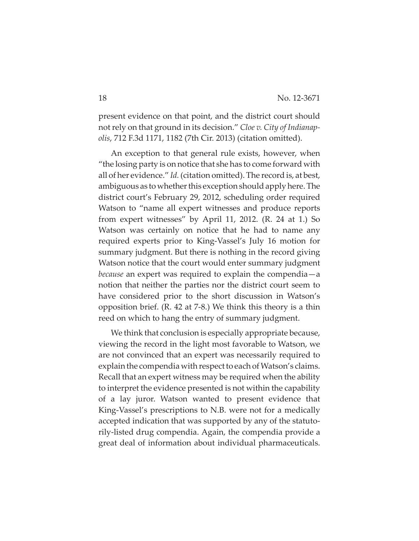present evidence on that point, and the district court should not rely on that ground in its decision." *Cloe v. City of IndianapȬ olis*, 712 F.3d 1171, 1182 (7th Cir. 2013) (citation omitted).

An exception to that general rule exists, however, when "the losing party is on notice that she has to come forward with all of her evidence." *Id.*(citation omitted). The record is, at best, ambiguous as to whether this exception should apply here. The district court's February 29, 2012, scheduling order required Watson to "name all expert witnesses and produce reports from expert witnesses" by April 11, 2012. (R. 24 at 1.) So Watson was certainly on notice that he had to name any required experts prior to KingȬVassel's July 16 motion for summary judgment. But there is nothing in the record giving Watson notice that the court would enter summary judgment *because* an expert was required to explain the compendia—a notion that neither the parties nor the district court seem to have considered prior to the short discussion in Watson's opposition brief.  $(R. 42 \text{ at } 7\text{-}8)$  We think this theory is a thin reed on which to hang the entry of summary judgment.

We think that conclusion is especially appropriate because, viewing the record in the light most favorable to Watson, we are not convinced that an expert was necessarily required to explain the compendia with respect to each of Watson's claims. Recall that an expert witness may be required when the ability to interpret the evidence presented is not within the capability of a lay juror. Watson wanted to present evidence that King-Vassel's prescriptions to N.B. were not for a medically accepted indication that was supported by any of the statutorilyȬlisted drug compendia. Again, the compendia provide a great deal of information about individual pharmaceuticals.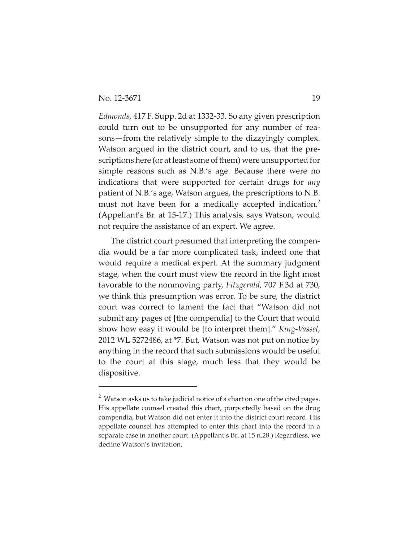*Edmonds*, 417 F. Supp. 2d at 1332-33. So any given prescription could turn out to be unsupported for any number of reasons—from the relatively simple to the dizzyingly complex. Watson argued in the district court, and to us, that the prescriptions here (or at least some of them) were unsupported for simple reasons such as N.B.'s age. Because there were no indications that were supported for certain drugs for *any* patient of N.B.'s age, Watson argues, the prescriptions to N.B. must not have been for a medically accepted indication.<sup>2</sup> (Appellant's Br. at 15-17.) This analysis, says Watson, would not require the assistance of an expert. We agree.

The district court presumed that interpreting the compendia would be a far more complicated task, indeed one that would require a medical expert. At the summary judgment stage, when the court must view the record in the light most favorable to the nonmoving party, *Fitzgerald*, 707 F.3d at 730, we think this presumption was error. To be sure, the district court was correct to lament the fact that "Watson did not submit any pages of [the compendia] to the Court that would show how easy it would be [to interpret them]." *King-Vassel*, 2012 WL 5272486, at \*7. But, Watson was not put on notice by anything in the record that such submissions would be useful to the court at this stage, much less that they would be dispositive.

 $^2$  Watson asks us to take judicial notice of a chart on one of the cited pages. His appellate counsel created this chart, purportedly based on the drug compendia, but Watson did not enter it into the district court record. His appellate counsel has attempted to enter this chart into the record in a separate case in another court. (Appellant's Br. at 15 n.28.) Regardless, we decline Watson's invitation.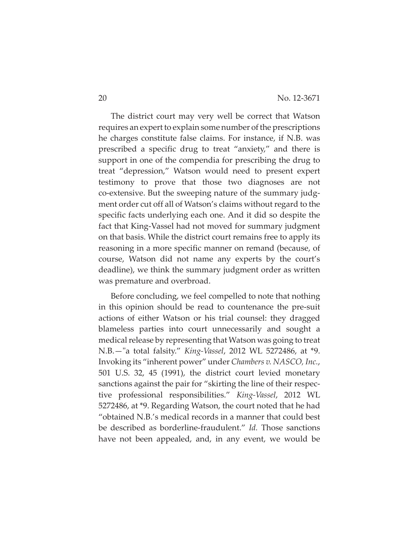The district court may very well be correct that Watson requires an expert to explain some number of the prescriptions he charges constitute false claims. For instance, if N.B. was prescribed a specific drug to treat "anxiety," and there is support in one of the compendia for prescribing the drug to treat "depression," Watson would need to present expert testimony to prove that those two diagnoses are not co-extensive. But the sweeping nature of the summary judgment order cut off all of Watson's claims without regard to the specific facts underlying each one. And it did so despite the fact that King-Vassel had not moved for summary judgment on that basis. While the district court remains free to apply its reasoning in a more specific manner on remand (because, of course, Watson did not name any experts by the court's deadline), we think the summary judgment order as written was premature and overbroad.

Before concluding, we feel compelled to note that nothing in this opinion should be read to countenance the pre-suit actions of either Watson or his trial counsel: they dragged blameless parties into court unnecessarily and sought a medical release by representing that Watson was going to treat N.B.—Ȉa total falsity." *KingȬVassel*, 2012 WL 5272486, at \*9. Invoking its "inherent power" under *Chambers v. NASCO, Inc.*, 501 U.S. 32, 45 (1991), the district court levied monetary sanctions against the pair for "skirting the line of their respective professional responsibilities." *KingȬVassel*, 2012 WL 5272486, at \*9. Regarding Watson, the court noted that he had "obtained N.B.'s medical records in a manner that could best be described as borderline-fraudulent." *Id.* Those sanctions have not been appealed, and, in any event, we would be